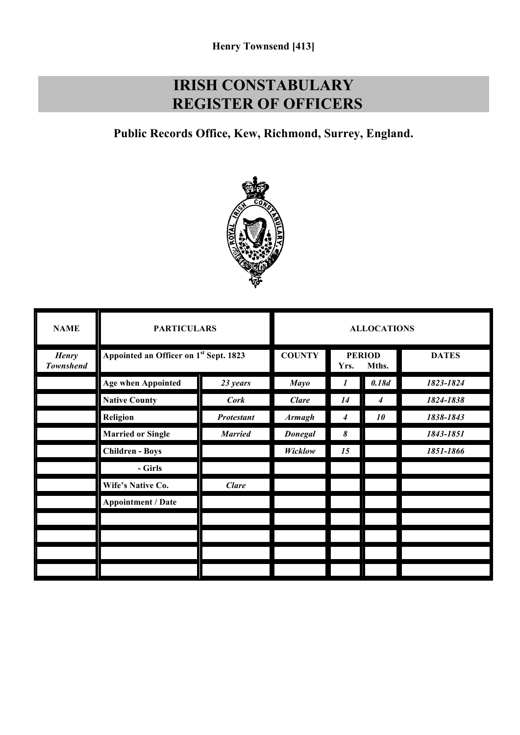## **IRISH CONSTABULARY REGISTER OF OFFICERS**

**Public Records Office, Kew, Richmond, Surrey, England.**



| <b>NAME</b>                      | <b>PARTICULARS</b>                     |                   | <b>ALLOCATIONS</b> |      |                        |              |
|----------------------------------|----------------------------------------|-------------------|--------------------|------|------------------------|--------------|
| <b>Henry</b><br><b>Townshend</b> | Appointed an Officer on 1st Sept. 1823 |                   | <b>COUNTY</b>      | Yrs. | <b>PERIOD</b><br>Mths. | <b>DATES</b> |
|                                  | <b>Age when Appointed</b>              | 23 years          | <b>Mayo</b>        | 1    | 0.18d                  | 1823-1824    |
|                                  | <b>Native County</b>                   | <b>Cork</b>       | <b>Clare</b>       | 14   | 4                      | 1824-1838    |
|                                  | Religion                               | <b>Protestant</b> | <b>Armagh</b>      | 4    | 10                     | 1838-1843    |
|                                  | <b>Married or Single</b>               | <b>Married</b>    | <b>Donegal</b>     | 8    |                        | 1843-1851    |
|                                  | <b>Children - Boys</b>                 |                   | Wicklow            | 15   |                        | 1851-1866    |
|                                  | - Girls                                |                   |                    |      |                        |              |
|                                  | Wife's Native Co.                      | <b>Clare</b>      |                    |      |                        |              |
|                                  | <b>Appointment / Date</b>              |                   |                    |      |                        |              |
|                                  |                                        |                   |                    |      |                        |              |
|                                  |                                        |                   |                    |      |                        |              |
|                                  |                                        |                   |                    |      |                        |              |
|                                  |                                        |                   |                    |      |                        |              |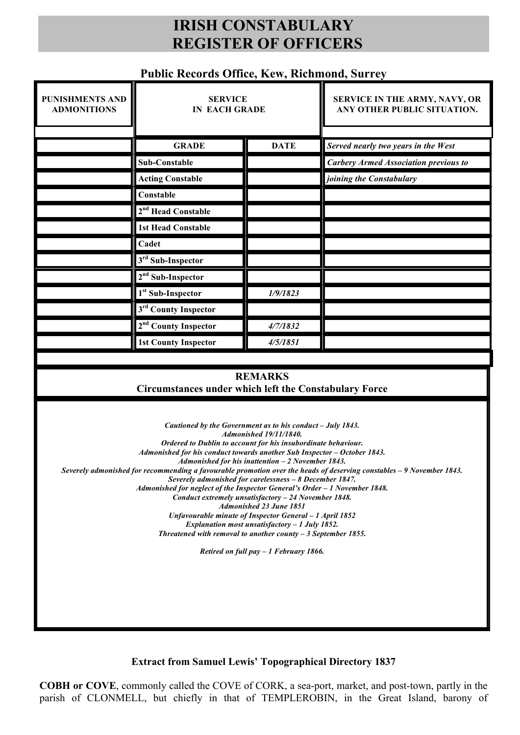## **IRISH CONSTABULARY REGISTER OF OFFICERS**

## **Public Records Office, Kew, Richmond, Surrey**

| <b>PUNISHMENTS AND</b><br><b>ADMONITIONS</b>                                                                                                                                                                                                                                                                                                                                                                                                                                                                                                                                                                                                                                                                                                                                                                                                                                         | <b>SERVICE</b><br><b>IN EACH GRADE</b> |             | SERVICE IN THE ARMY, NAVY, OR<br>ANY OTHER PUBLIC SITUATION. |  |  |  |  |
|--------------------------------------------------------------------------------------------------------------------------------------------------------------------------------------------------------------------------------------------------------------------------------------------------------------------------------------------------------------------------------------------------------------------------------------------------------------------------------------------------------------------------------------------------------------------------------------------------------------------------------------------------------------------------------------------------------------------------------------------------------------------------------------------------------------------------------------------------------------------------------------|----------------------------------------|-------------|--------------------------------------------------------------|--|--|--|--|
|                                                                                                                                                                                                                                                                                                                                                                                                                                                                                                                                                                                                                                                                                                                                                                                                                                                                                      | <b>GRADE</b>                           | <b>DATE</b> | Served nearly two years in the West                          |  |  |  |  |
|                                                                                                                                                                                                                                                                                                                                                                                                                                                                                                                                                                                                                                                                                                                                                                                                                                                                                      | Sub-Constable                          |             | <b>Carbery Armed Association previous to</b>                 |  |  |  |  |
|                                                                                                                                                                                                                                                                                                                                                                                                                                                                                                                                                                                                                                                                                                                                                                                                                                                                                      | <b>Acting Constable</b>                |             | joining the Constabulary                                     |  |  |  |  |
|                                                                                                                                                                                                                                                                                                                                                                                                                                                                                                                                                                                                                                                                                                                                                                                                                                                                                      | Constable                              |             |                                                              |  |  |  |  |
|                                                                                                                                                                                                                                                                                                                                                                                                                                                                                                                                                                                                                                                                                                                                                                                                                                                                                      | 2 <sup>nd</sup> Head Constable         |             |                                                              |  |  |  |  |
|                                                                                                                                                                                                                                                                                                                                                                                                                                                                                                                                                                                                                                                                                                                                                                                                                                                                                      | <b>1st Head Constable</b>              |             |                                                              |  |  |  |  |
|                                                                                                                                                                                                                                                                                                                                                                                                                                                                                                                                                                                                                                                                                                                                                                                                                                                                                      | Cadet                                  |             |                                                              |  |  |  |  |
|                                                                                                                                                                                                                                                                                                                                                                                                                                                                                                                                                                                                                                                                                                                                                                                                                                                                                      | 3rd Sub-Inspector                      |             |                                                              |  |  |  |  |
|                                                                                                                                                                                                                                                                                                                                                                                                                                                                                                                                                                                                                                                                                                                                                                                                                                                                                      | $2nd$ Sub-Inspector                    |             |                                                              |  |  |  |  |
|                                                                                                                                                                                                                                                                                                                                                                                                                                                                                                                                                                                                                                                                                                                                                                                                                                                                                      | 1 <sup>st</sup> Sub-Inspector          | 1/9/1823    |                                                              |  |  |  |  |
|                                                                                                                                                                                                                                                                                                                                                                                                                                                                                                                                                                                                                                                                                                                                                                                                                                                                                      | 3rd County Inspector                   |             |                                                              |  |  |  |  |
|                                                                                                                                                                                                                                                                                                                                                                                                                                                                                                                                                                                                                                                                                                                                                                                                                                                                                      | 2 <sup>nd</sup> County Inspector       | 4/7/1832    |                                                              |  |  |  |  |
|                                                                                                                                                                                                                                                                                                                                                                                                                                                                                                                                                                                                                                                                                                                                                                                                                                                                                      | <b>1st County Inspector</b>            | 4/5/1851    |                                                              |  |  |  |  |
|                                                                                                                                                                                                                                                                                                                                                                                                                                                                                                                                                                                                                                                                                                                                                                                                                                                                                      |                                        |             |                                                              |  |  |  |  |
| <b>REMARKS</b><br><b>Circumstances under which left the Constabulary Force</b>                                                                                                                                                                                                                                                                                                                                                                                                                                                                                                                                                                                                                                                                                                                                                                                                       |                                        |             |                                                              |  |  |  |  |
| Cautioned by the Government as to his conduct - July 1843.<br><b>Admonished 19/11/1840.</b><br>Ordered to Dublin to account for his insubordinate behaviour.<br>Admonished for his conduct towards another Sub Inspector - October 1843.<br>Admonished for his inattention $-2$ November 1843.<br>Severely admonished for recommending a favourable promotion over the heads of deserving constables - 9 November 1843.<br>Severely admonished for carelessness - 8 December 1847.<br>Admonished for neglect of the Inspector General's Order - 1 November 1848.<br>Conduct extremely unsatisfactory - 24 November 1848.<br><b>Admonished 23 June 1851</b><br>Unfavourable minute of Inspector General - 1 April 1852<br>Explanation most unsatisfactory - 1 July 1852.<br>Threatened with removal to another county $-3$ September 1855.<br>Retired on full pay $-1$ February 1866. |                                        |             |                                                              |  |  |  |  |

**Extract from Samuel Lewis' Topographical Directory 1837**

**COBH or COVE**, commonly called the COVE of CORK, a sea-port, market, and post-town, partly in the parish of CLONMELL, but chiefly in that of TEMPLEROBIN, in the Great Island, barony of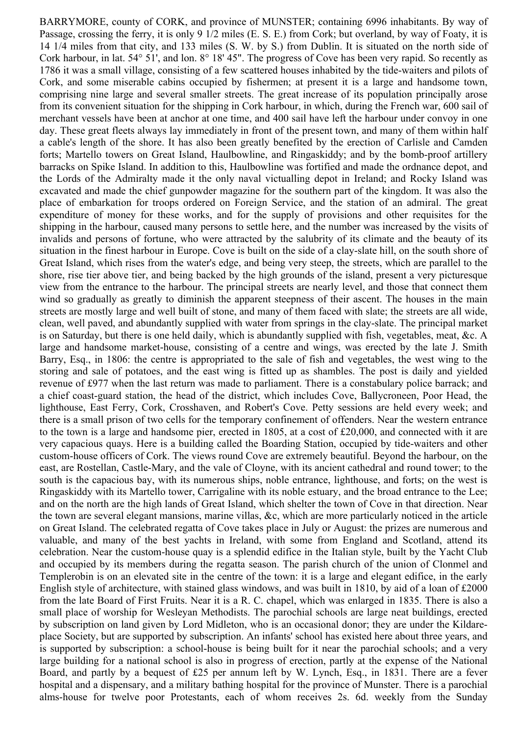BARRYMORE, county of CORK, and province of MUNSTER; containing 6996 inhabitants. By way of Passage, crossing the ferry, it is only 9 1/2 miles (E. S. E.) from Cork; but overland, by way of Foaty, it is 14 1/4 miles from that city, and 133 miles (S. W. by S.) from Dublin. It is situated on the north side of Cork harbour, in lat. 54° 51', and lon. 8° 18' 45". The progress of Cove has been very rapid. So recently as 1786 it was a small village, consisting of a few scattered houses inhabited by the tide-waiters and pilots of Cork, and some miserable cabins occupied by fishermen; at present it is a large and handsome town, comprising nine large and several smaller streets. The great increase of its population principally arose from its convenient situation for the shipping in Cork harbour, in which, during the French war, 600 sail of merchant vessels have been at anchor at one time, and 400 sail have left the harbour under convoy in one day. These great fleets always lay immediately in front of the present town, and many of them within half a cable's length of the shore. It has also been greatly benefited by the erection of Carlisle and Camden forts; Martello towers on Great Island, Haulbowline, and Ringaskiddy; and by the bomb-proof artillery barracks on Spike Island. In addition to this, Haulbowline was fortified and made the ordnance depot, and the Lords of the Admiralty made it the only naval victualling depot in Ireland; and Rocky Island was excavated and made the chief gunpowder magazine for the southern part of the kingdom. It was also the place of embarkation for troops ordered on Foreign Service, and the station of an admiral. The great expenditure of money for these works, and for the supply of provisions and other requisites for the shipping in the harbour, caused many persons to settle here, and the number was increased by the visits of invalids and persons of fortune, who were attracted by the salubrity of its climate and the beauty of its situation in the finest harbour in Europe. Cove is built on the side of a clay-slate hill, on the south shore of Great Island, which rises from the water's edge, and being very steep, the streets, which are parallel to the shore, rise tier above tier, and being backed by the high grounds of the island, present a very picturesque view from the entrance to the harbour. The principal streets are nearly level, and those that connect them wind so gradually as greatly to diminish the apparent steepness of their ascent. The houses in the main streets are mostly large and well built of stone, and many of them faced with slate; the streets are all wide, clean, well paved, and abundantly supplied with water from springs in the clay-slate. The principal market is on Saturday, but there is one held daily, which is abundantly supplied with fish, vegetables, meat, &c. A large and handsome market-house, consisting of a centre and wings, was erected by the late J. Smith Barry, Esq., in 1806: the centre is appropriated to the sale of fish and vegetables, the west wing to the storing and sale of potatoes, and the east wing is fitted up as shambles. The post is daily and yielded revenue of £977 when the last return was made to parliament. There is a constabulary police barrack; and a chief coast-guard station, the head of the district, which includes Cove, Ballycroneen, Poor Head, the lighthouse, East Ferry, Cork, Crosshaven, and Robert's Cove. Petty sessions are held every week; and there is a small prison of two cells for the temporary confinement of offenders. Near the western entrance to the town is a large and handsome pier, erected in 1805, at a cost of £20,000, and connected with it are very capacious quays. Here is a building called the Boarding Station, occupied by tide-waiters and other custom-house officers of Cork. The views round Cove are extremely beautiful. Beyond the harbour, on the east, are Rostellan, Castle-Mary, and the vale of Cloyne, with its ancient cathedral and round tower; to the south is the capacious bay, with its numerous ships, noble entrance, lighthouse, and forts; on the west is Ringaskiddy with its Martello tower, Carrigaline with its noble estuary, and the broad entrance to the Lee; and on the north are the high lands of Great Island, which shelter the town of Cove in that direction. Near the town are several elegant mansions, marine villas, &c, which are more particularly noticed in the article on Great Island. The celebrated regatta of Cove takes place in July or August: the prizes are numerous and valuable, and many of the best yachts in Ireland, with some from England and Scotland, attend its celebration. Near the custom-house quay is a splendid edifice in the Italian style, built by the Yacht Club and occupied by its members during the regatta season. The parish church of the union of Clonmel and Templerobin is on an elevated site in the centre of the town: it is a large and elegant edifice, in the early English style of architecture, with stained glass windows, and was built in 1810, by aid of a loan of £2000 from the late Board of First Fruits. Near it is a R. C. chapel, which was enlarged in 1835. There is also a small place of worship for Wesleyan Methodists. The parochial schools are large neat buildings, erected by subscription on land given by Lord Midleton, who is an occasional donor; they are under the Kildareplace Society, but are supported by subscription. An infants' school has existed here about three years, and is supported by subscription: a school-house is being built for it near the parochial schools; and a very large building for a national school is also in progress of erection, partly at the expense of the National Board, and partly by a bequest of £25 per annum left by W. Lynch, Esq., in 1831. There are a fever hospital and a dispensary, and a military bathing hospital for the province of Munster. There is a parochial alms-house for twelve poor Protestants, each of whom receives 2s. 6d. weekly from the Sunday